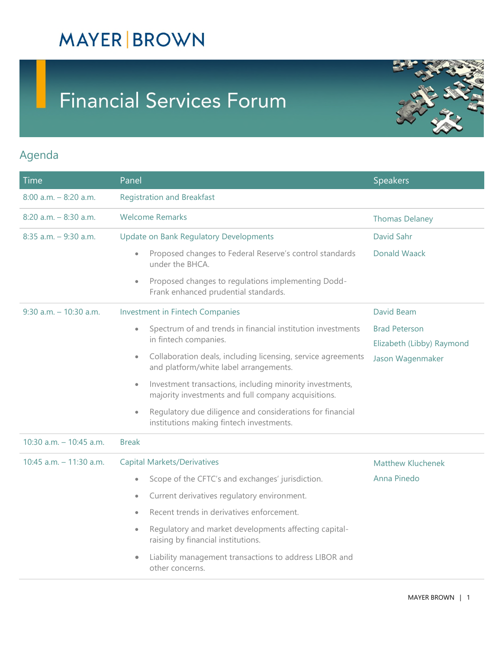## **MAYER BROWN**

# **Financial Services Forum**



#### Agenda

| <b>Time</b>               | Panel                                                                                                                        | <b>Speakers</b>           |  |  |
|---------------------------|------------------------------------------------------------------------------------------------------------------------------|---------------------------|--|--|
| $8:00$ a.m. $-8:20$ a.m.  | <b>Registration and Breakfast</b>                                                                                            |                           |  |  |
| $8:20$ a.m. $-8:30$ a.m.  | <b>Welcome Remarks</b>                                                                                                       | <b>Thomas Delaney</b>     |  |  |
| $8:35$ a.m. $-9:30$ a.m.  | Update on Bank Regulatory Developments                                                                                       | David Sahr                |  |  |
|                           | Proposed changes to Federal Reserve's control standards<br>$\bullet$<br>under the BHCA.                                      | <b>Donald Waack</b>       |  |  |
|                           | Proposed changes to regulations implementing Dodd-<br>$\bullet$<br>Frank enhanced prudential standards.                      |                           |  |  |
| $9:30$ a.m. $-10:30$ a.m. | Investment in Fintech Companies                                                                                              | David Beam                |  |  |
|                           | Spectrum of and trends in financial institution investments<br>$\bullet$                                                     | <b>Brad Peterson</b>      |  |  |
|                           | in fintech companies.                                                                                                        | Elizabeth (Libby) Raymond |  |  |
|                           | Collaboration deals, including licensing, service agreements<br>$\bullet$<br>and platform/white label arrangements.          | Jason Wagenmaker          |  |  |
|                           | Investment transactions, including minority investments,<br>$\bullet$<br>majority investments and full company acquisitions. |                           |  |  |
|                           | Regulatory due diligence and considerations for financial<br>$\bullet$<br>institutions making fintech investments.           |                           |  |  |
| 10:30 a.m. $-$ 10:45 a.m. | <b>Break</b>                                                                                                                 |                           |  |  |
| 10:45 a.m. $-$ 11:30 a.m. | <b>Capital Markets/Derivatives</b>                                                                                           | Matthew Kluchenek         |  |  |
|                           | Scope of the CFTC's and exchanges' jurisdiction.<br>$\bullet$                                                                | Anna Pinedo               |  |  |
|                           | Current derivatives regulatory environment.<br>$\bullet$                                                                     |                           |  |  |
|                           | Recent trends in derivatives enforcement.<br>$\bullet$                                                                       |                           |  |  |
|                           | Regulatory and market developments affecting capital-<br>$\bullet$<br>raising by financial institutions.                     |                           |  |  |
|                           | Liability management transactions to address LIBOR and<br>other concerns.                                                    |                           |  |  |